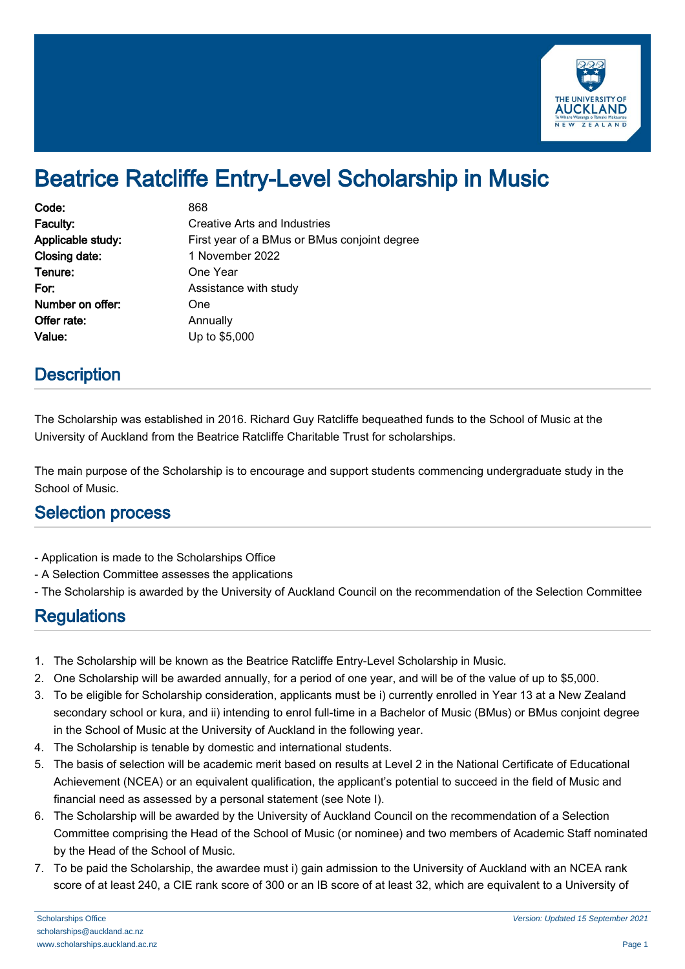

# Beatrice Ratcliffe Entry-Level Scholarship in Music

| Code:             | 868                                          |
|-------------------|----------------------------------------------|
| Faculty:          | Creative Arts and Industries                 |
| Applicable study: | First year of a BMus or BMus conjoint degree |
| Closing date:     | 1 November 2022                              |
| Tenure:           | One Year                                     |
| For:              | Assistance with study                        |
| Number on offer:  | One                                          |
| Offer rate:       | Annually                                     |
| Value:            | Up to \$5,000                                |

### **Description**

The Scholarship was established in 2016. Richard Guy Ratcliffe bequeathed funds to the School of Music at the University of Auckland from the Beatrice Ratcliffe Charitable Trust for scholarships.

The main purpose of the Scholarship is to encourage and support students commencing undergraduate study in the School of Music.

#### Selection process

- Application is made to the Scholarships Office
- A Selection Committee assesses the applications
- The Scholarship is awarded by the University of Auckland Council on the recommendation of the Selection Committee

## **Regulations**

- 1. The Scholarship will be known as the Beatrice Ratcliffe Entry-Level Scholarship in Music.
- 2. One Scholarship will be awarded annually, for a period of one year, and will be of the value of up to \$5,000.
- 3. To be eligible for Scholarship consideration, applicants must be i) currently enrolled in Year 13 at a New Zealand secondary school or kura, and ii) intending to enrol full-time in a Bachelor of Music (BMus) or BMus conjoint degree in the School of Music at the University of Auckland in the following year.
- 4. The Scholarship is tenable by domestic and international students.
- 5. The basis of selection will be academic merit based on results at Level 2 in the National Certificate of Educational Achievement (NCEA) or an equivalent qualification, the applicant's potential to succeed in the field of Music and financial need as assessed by a personal statement (see Note I).
- 6. The Scholarship will be awarded by the University of Auckland Council on the recommendation of a Selection Committee comprising the Head of the School of Music (or nominee) and two members of Academic Staff nominated by the Head of the School of Music.
- 7. To be paid the Scholarship, the awardee must i) gain admission to the University of Auckland with an NCEA rank score of at least 240, a CIE rank score of 300 or an IB score of at least 32, which are equivalent to a University of